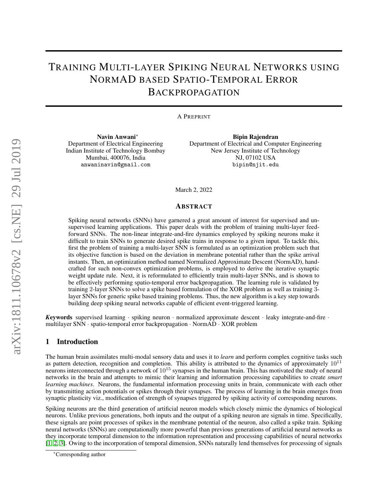## TRAINING MULTI-LAYER SPIKING NEURAL NETWORKS USING NORMAD BASED SPATIO-TEMPORAL ERROR BACKPROPAGATION

#### A PREPRINT

Navin Anwani<sup>∗</sup> Department of Electrical Engineering Indian Institute of Technology Bombay Mumbai, 400076, India anwaninavin@gmail.com

Bipin Rajendran Department of Electrical and Computer Engineering New Jersey Institute of Technology NJ, 07102 USA bipin@njit.edu

March 2, 2022

## ABSTRACT

Spiking neural networks (SNNs) have garnered a great amount of interest for supervised and unsupervised learning applications. This paper deals with the problem of training multi-layer feedforward SNNs. The non-linear integrate-and-fire dynamics employed by spiking neurons make it difficult to train SNNs to generate desired spike trains in response to a given input. To tackle this, first the problem of training a multi-layer SNN is formulated as an optimization problem such that its objective function is based on the deviation in membrane potential rather than the spike arrival instants. Then, an optimization method named Normalized Approximate Descent (NormAD), handcrafted for such non-convex optimization problems, is employed to derive the iterative synaptic weight update rule. Next, it is reformulated to efficiently train multi-layer SNNs, and is shown to be effectively performing spatio-temporal error backpropagation. The learning rule is validated by training 2-layer SNNs to solve a spike based formulation of the XOR problem as well as training 3 layer SNNs for generic spike based training problems. Thus, the new algorithm is a key step towards building deep spiking neural networks capable of efficient event-triggered learning.

*K*eywords supervised learning · spiking neuron · normalized approximate descent · leaky integrate-and-fire · multilayer SNN · spatio-temporal error backpropagation · NormAD · XOR problem

#### 1 Introduction

The human brain assimilates multi-modal sensory data and uses it to *learn* and perform complex cognitive tasks such as pattern detection, recognition and completion. This ability is attributed to the dynamics of approximately  $10^{11}$ neurons interconnected through a network of  $10^{15}$  synapses in the human brain. This has motivated the study of neural networks in the brain and attempts to mimic their learning and information processing capabilities to create *smart learning machines*. Neurons, the fundamental information processing units in brain, communicate with each other by transmitting action potentials or spikes through their synapses. The process of learning in the brain emerges from synaptic plasticity viz., modification of strength of synapses triggered by spiking activity of corresponding neurons.

Spiking neurons are the third generation of artificial neuron models which closely mimic the dynamics of biological neurons. Unlike previous generations, both inputs and the output of a spiking neuron are signals in time. Specifically, these signals are point processes of spikes in the membrane potential of the neuron, also called a spike train. Spiking neural networks (SNNs) are computationally more powerful than previous generations of artificial neural networks as they incorporate temporal dimension to the information representation and processing capabilities of neural networks [\[1,](#page-17-0) [2,](#page-17-1) [3\]](#page-17-2). Owing to the incorporation of temporal dimension, SNNs naturally lend themselves for processing of signals

<sup>∗</sup>Corresponding author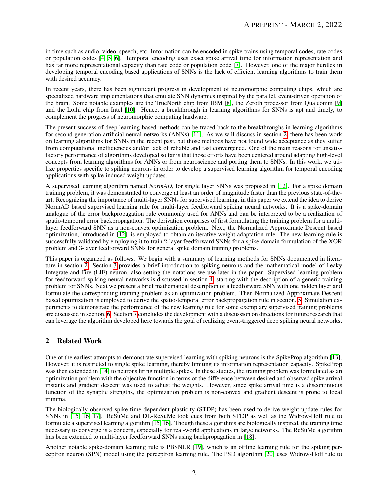in time such as audio, video, speech, etc. Information can be encoded in spike trains using temporal codes, rate codes or population codes [\[4,](#page-17-3) [5,](#page-17-4) [6\]](#page-17-5). Temporal encoding uses exact spike arrival time for information representation and has far more representational capacity than rate code or population code [\[7\]](#page-17-6). However, one of the major hurdles in developing temporal encoding based applications of SNNs is the lack of efficient learning algorithms to train them with desired accuracy.

In recent years, there has been significant progress in development of neuromorphic computing chips, which are specialized hardware implementations that emulate SNN dynamics inspired by the parallel, event-driven operation of the brain. Some notable examples are the TrueNorth chip from IBM [\[8\]](#page-17-7), the Zeroth processor from Qualcomm [\[9\]](#page-17-8) and the Loihi chip from Intel [\[10\]](#page-17-9). Hence, a breakthrough in learning algorithms for SNNs is apt and timely, to complement the progress of neuromorphic computing hardware.

The present success of deep learning based methods can be traced back to the breakthroughs in learning algorithms for second generation artificial neural networks (ANNs) [\[11\]](#page-17-10). As we will discuss in section [2,](#page-1-0) there has been work on learning algorithms for SNNs in the recent past, but those methods have not found wide acceptance as they suffer from computational inefficiencies and/or lack of reliable and fast convergence. One of the main reasons for unsatisfactory performance of algorithms developed so far is that those efforts have been centered around adapting high-level concepts from learning algorithms for ANNs or from neuroscience and porting them to SNNs. In this work, we utilize properties specific to spiking neurons in order to develop a supervised learning algorithm for temporal encoding applications with spike-induced weight updates.

A supervised learning algorithm named *NormAD*, for single layer SNNs was proposed in [\[12\]](#page-17-11). For a spike domain training problem, it was demonstrated to converge at least an order of magnitude faster than the previous state-of-theart. Recognizing the importance of multi-layer SNNs for supervised learning, in this paper we extend the idea to derive NormAD based supervised learning rule for multi-layer feedforward spiking neural networks. It is a spike-domain analogue of the error backpropagation rule commonly used for ANNs and can be interpreted to be a realization of spatio-temporal error backpropagation. The derivation comprises of first formulating the training problem for a multilayer feedforward SNN as a non-convex optimization problem. Next, the Normalized Approximate Descent based optimization, introduced in [\[12\]](#page-17-11), is employed to obtain an iterative weight adaptation rule. The new learning rule is successfully validated by employing it to train 2-layer feedforward SNNs for a spike domain formulation of the XOR problem and 3-layer feedforward SNNs for general spike domain training problems.

This paper is organized as follows. We begin with a summary of learning methods for SNNs documented in literature in section [2.](#page-1-0) Section [3](#page-2-0) provides a brief introduction to spiking neurons and the mathematical model of Leaky Integrate-and-Fire (LIF) neuron, also setting the notations we use later in the paper. Supervised learning problem for feedforward spiking neural networks is discussed in section [4,](#page-5-0) starting with the description of a generic training problem for SNNs. Next we present a brief mathematical description of a feedforward SNN with one hidden layer and formulate the corresponding training problem as an optimization problem. Then Normalized Approximate Descent based optimization is employed to derive the spatio-temporal error backpropagation rule in section. [5.](#page-7-0) Simulation experiments to demonstrate the performance of the new learning rule for some exemplary supervised training problems are discussed in section. [6.](#page-11-0) Section [7](#page-14-0) concludes the development with a discussion on directions for future research that can leverage the algorithm developed here towards the goal of realizing event-triggered deep spiking neural networks.

## <span id="page-1-0"></span>2 Related Work

One of the earliest attempts to demonstrate supervised learning with spiking neurons is the SpikeProp algorithm [\[13\]](#page-17-12). However, it is restricted to single spike learning, thereby limiting its information representation capacity. SpikeProp was then extended in [\[14\]](#page-17-13) to neurons firing multiple spikes. In these studies, the training problem was formulated as an optimization problem with the objective function in terms of the difference between desired and observed spike arrival instants and gradient descent was used to adjust the weights. However, since spike arrival time is a discontinuous function of the synaptic strengths, the optimization problem is non-convex and gradient descent is prone to local minima.

The biologically observed spike time dependent plasticity (STDP) has been used to derive weight update rules for SNNs in [\[15,](#page-17-14) [16,](#page-17-15) [17\]](#page-17-16). ReSuMe and DL-ReSuMe took cues from both STDP as well as the Widrow-Hoff rule to formulate a supervised learning algorithm [\[15,](#page-17-14) [16\]](#page-17-15). Though these algorithms are biologically inspired, the training time necessary to converge is a concern, especially for real-world applications in large networks. The ReSuMe algorithm has been extended to multi-layer feedforward SNNs using backpropagation in [\[18\]](#page-17-17).

Another notable spike-domain learning rule is PBSNLR [\[19\]](#page-17-18), which is an offline learning rule for the spiking perceptron neuron (SPN) model using the perceptron learning rule. The PSD algorithm [\[20\]](#page-17-19) uses Widrow-Hoff rule to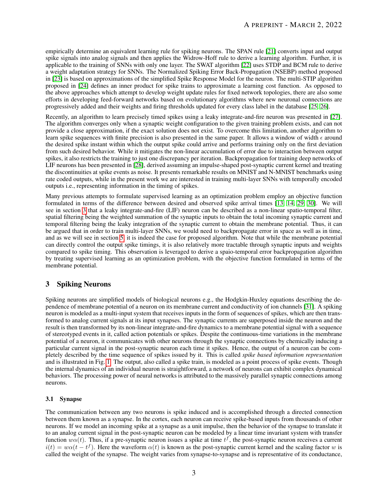empirically determine an equivalent learning rule for spiking neurons. The SPAN rule [\[21\]](#page-17-20) converts input and output spike signals into analog signals and then applies the Widrow-Hoff rule to derive a learning algorithm. Further, it is applicable to the training of SNNs with only one layer. The SWAT algorithm [\[22\]](#page-17-21) uses STDP and BCM rule to derive a weight adaptation strategy for SNNs. The Normalized Spiking Error Back-Propagation (NSEBP) method proposed in [\[23\]](#page-17-22) is based on approximations of the simplified Spike Response Model for the neuron. The multi-STIP algorithm proposed in [\[24\]](#page-18-0) defines an inner product for spike trains to approximate a learning cost function. As opposed to the above approaches which attempt to develop weight update rules for fixed network topologies, there are also some efforts in developing feed-forward networks based on evolutionary algorithms where new neuronal connections are progressively added and their weights and firing thresholds updated for every class label in the database [\[25,](#page-18-1) [26\]](#page-18-2).

Recently, an algorithm to learn precisely timed spikes using a leaky integrate-and-fire neuron was presented in [\[27\]](#page-18-3). The algorithm converges only when a synaptic weight configuration to the given training problem exists, and can not provide a close approximation, if the exact solution does not exist. To overcome this limitation, another algorithm to learn spike sequences with finite precision is also presented in the same paper. It allows a window of width  $\epsilon$  around the desired spike instant within which the output spike could arrive and performs training only on the first deviation from such desired behavior. While it mitigates the non-linear accumulation of error due to interaction between output spikes, it also restricts the training to just one discrepancy per iteration. Backpropagation for training deep networks of LIF neurons has been presented in [\[28\]](#page-18-4), derived assuming an impulse-shaped post-synaptic current kernel and treating the discontinuities at spike events as noise. It presents remarkable results on MNIST and N-MNIST benchmarks using rate coded outputs, while in the present work we are interested in training multi-layer SNNs with temporally encoded outputs i.e., representing information in the timing of spikes.

Many previous attempts to formulate supervised learning as an optimization problem employ an objective function formulated in terms of the difference between desired and observed spike arrival times [\[13,](#page-17-12) [14,](#page-17-13) [29,](#page-18-5) [30\]](#page-18-6). We will see in section [3](#page-2-0) that a leaky integrate-and-fire (LIF) neuron can be described as a non-linear spatio-temporal filter, spatial filtering being the weighted summation of the synaptic inputs to obtain the total incoming synaptic current and temporal filtering being the leaky integration of the synaptic current to obtain the membrane potential. Thus, it can be argued that in order to train multi-layer SNNs, we would need to backpropagate error in space as well as in time, and as we will see in section [5,](#page-7-0) it is indeed the case for proposed algorithm. Note that while the membrane potential can directly control the output spike timings, it is also relatively more tractable through synaptic inputs and weights compared to spike timing. This observation is leveraged to derive a spaio-temporal error backpropagation algorithm by treating supervised learning as an optimization problem, with the objective function formulated in terms of the membrane potential.

## <span id="page-2-0"></span>3 Spiking Neurons

Spiking neurons are simplified models of biological neurons e.g., the Hodgkin-Huxley equations describing the dependence of membrane potential of a neuron on its membrane current and conductivity of ion channels [\[31\]](#page-18-7). A spiking neuron is modeled as a multi-input system that receives inputs in the form of sequences of spikes, which are then transformed to analog current signals at its input synapses. The synaptic currents are superposed inside the neuron and the result is then transformed by its non-linear integrate-and-fire dynamics to a membrane potential signal with a sequence of stereotyped events in it, called action potentials or spikes. Despite the continuous-time variations in the membrane potential of a neuron, it communicates with other neurons through the synaptic connections by chemically inducing a particular current signal in the post-synaptic neuron each time it spikes. Hence, the output of a neuron can be completely described by the time sequence of spikes issued by it. This is called *spike based information representation* and is illustrated in Fig. [1.](#page-3-0) The output, also called a spike train, is modeled as a point process of spike events. Though the internal dynamics of an individual neuron is straightforward, a network of neurons can exhibit complex dynamical behaviors. The processing power of neural networks is attributed to the massively parallel synaptic connections among neurons.

## 3.1 Synapse

The communication between any two neurons is spike induced and is accomplished through a directed connection between them known as a synapse. In the cortex, each neuron can receive spike-based inputs from thousands of other neurons. If we model an incoming spike at a synapse as a unit impulse, then the behavior of the synapse to translate it to an analog current signal in the post-synaptic neuron can be modeled by a linear time invariant system with transfer function  $w\alpha(t)$ . Thus, if a pre-synaptic neuron issues a spike at time  $t^f$ , the post-synaptic neuron receives a current  $i(t) = w\alpha(t - t^f)$ . Here the waveform  $\alpha(t)$  is known as the post-synaptic current kernel and the scaling factor w is called the weight of the synapse. The weight varies from synapse-to-synapse and is representative of its conductance,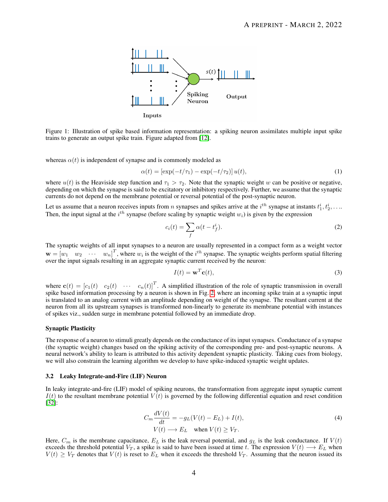<span id="page-3-0"></span>

Figure 1: Illustration of spike based information representation: a spiking neuron assimilates multiple input spike trains to generate an output spike train. Figure adapted from [\[12\]](#page-17-11).

whereas  $\alpha(t)$  is independent of synapse and is commonly modeled as

$$
\alpha(t) = [\exp(-t/\tau_1) - \exp(-t/\tau_2)] u(t), \tag{1}
$$

where  $u(t)$  is the Heaviside step function and  $\tau_1 > \tau_2$ . Note that the synaptic weight w can be positive or negative, depending on which the synapse is said to be excitatory or inhibitory respectively. Further, we assume that the synaptic currents do not depend on the membrane potential or reversal potential of the post-synaptic neuron.

Let us assume that a neuron receives inputs from *n* synapses and spikes arrive at the  $i^{th}$  synapse at instants  $t_1^i, t_2^i, \ldots$ Then, the input signal at the  $i^{th}$  synapse (before scaling by synaptic weight  $w_i$ ) is given by the expression

$$
c_i(t) = \sum_f \alpha(t - t_f^i). \tag{2}
$$

The synaptic weights of all input synapses to a neuron are usually represented in a compact form as a weight vector  $\mathbf{w} = \begin{bmatrix} w_1 & w_2 & \cdots & w_n \end{bmatrix}^T$ , where  $w_i$  is the weight of the  $i^{th}$  synapse. The synaptic weights perform spatial filtering over the input signals resulting in an aggregate synaptic current received by the neuron:

<span id="page-3-3"></span><span id="page-3-2"></span>
$$
I(t) = \mathbf{w}^T \mathbf{c}(t),\tag{3}
$$

where  $\mathbf{c}(t) = [c_1(t) \quad c_2(t) \quad \cdots \quad c_n(t)]^T$ . A simplified illustration of the role of synaptic transmission in overall spike based information processing by a neuron is shown in Fig. [2,](#page-4-0) where an incoming spike train at a synaptic input is translated to an analog current with an amplitude depending on weight of the synapse. The resultant current at the neuron from all its upstream synapses is transformed non-linearly to generate its membrane potential with instances of spikes viz., sudden surge in membrane potential followed by an immediate drop.

#### Synaptic Plasticity

The response of a neuron to stimuli greatly depends on the conductance of its input synapses. Conductance of a synapse (the synaptic weight) changes based on the spiking activity of the corresponding pre- and post-synaptic neurons. A neural network's ability to learn is attributed to this activity dependent synaptic plasticity. Taking cues from biology, we will also constrain the learning algorithm we develop to have spike-induced synaptic weight updates.

#### 3.2 Leaky Integrate-and-Fire (LIF) Neuron

In leaky integrate-and-fire (LIF) model of spiking neurons, the transformation from aggregate input synaptic current  $I(t)$  to the resultant membrane potential  $V(t)$  is governed by the following differential equation and reset condition [\[32\]](#page-18-8):

<span id="page-3-1"></span>
$$
C_m \frac{dV(t)}{dt} = -g_L(V(t) - E_L) + I(t),
$$
  
\n
$$
V(t) \longrightarrow E_L \quad \text{when } V(t) \ge V_T.
$$
\n(4)

Here,  $C_m$  is the membrane capacitance,  $E_L$  is the leak reversal potential, and  $g_L$  is the leak conductance. If  $V(t)$ exceeds the threshold potential  $V_T$ , a spike is said to have been issued at time t. The expression  $V(t) \longrightarrow E_L$  when  $V(t) \geq V_T$  denotes that  $V(t)$  is reset to  $E_L$  when it exceeds the threshold  $V_T$ . Assuming that the neuron issued its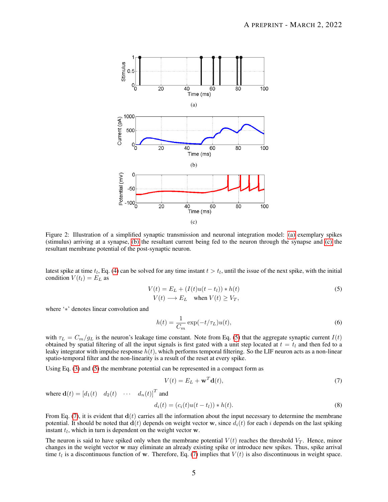<span id="page-4-0"></span>

Figure 2: Illustration of a simplified synaptic transmission and neuronal integration model: [\(a\)](#page-4-0) exemplary spikes (stimulus) arriving at a synapse, [\(b\)](#page-4-0) the resultant current being fed to the neuron through the synapse and [\(c\)](#page-4-0) the resultant membrane potential of the post-synaptic neuron.

latest spike at time  $t_l$ , Eq. [\(4\)](#page-3-1) can be solved for any time instant  $t > t_l$ , until the issue of the next spike, with the initial condition  $V(t_l) = E_L$  as

$$
V(t) = E_L + (I(t)u(t - t_l)) * h(t)
$$
  
\n
$$
V(t) \longrightarrow E_L \quad \text{when } V(t) \ge V_T,
$$
\n(5)

where '∗' denotes linear convolution and

<span id="page-4-1"></span>
$$
h(t) = \frac{1}{C_m} \exp(-t/\tau_L) u(t),\tag{6}
$$

with  $\tau_L = C_m/g_L$  is the neuron's leakage time constant. Note from Eq. [\(5\)](#page-4-1) that the aggregate synaptic current  $I(t)$ obtained by spatial filtering of all the input signals is first gated with a unit step located at  $t = t<sub>l</sub>$  and then fed to a leaky integrator with impulse response  $h(t)$ , which performs temporal filtering. So the LIF neuron acts as a non-linear spatio-temporal filter and the non-linearity is a result of the reset at every spike.

Using Eq. [\(3\)](#page-3-2) and [\(5\)](#page-4-1) the membrane potential can be represented in a compact form as

<span id="page-4-2"></span>
$$
V(t) = E_L + \mathbf{w}^T \mathbf{d}(t),\tag{7}
$$

where  $\mathbf{d}(t) = \begin{bmatrix} d_1(t) & d_2(t) & \cdots & d_n(t) \end{bmatrix}^T$  and

$$
d_i(t) = (c_i(t)u(t - t_l)) * h(t).
$$
\n(8)

From Eq. [\(7\)](#page-4-2), it is evident that  $\mathbf{d}(t)$  carries all the information about the input necessary to determine the membrane potential. It should be noted that  $\mathbf{d}(t)$  depends on weight vector w, since  $d_i(t)$  for each i depends on the last spiking instant  $t_l$ , which in turn is dependent on the weight vector w.

The neuron is said to have spiked only when the membrane potential  $V(t)$  reaches the threshold  $V_T$ . Hence, minor changes in the weight vector w may eliminate an already existing spike or introduce new spikes. Thus, spike arrival time  $t_l$  is a discontinuous function of w. Therefore, Eq. [\(7\)](#page-4-2) implies that  $V(t)$  is also discontinuous in weight space.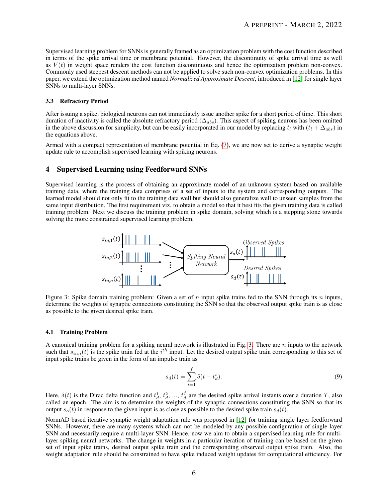Supervised learning problem for SNNs is generally framed as an optimization problem with the cost function described in terms of the spike arrival time or membrane potential. However, the discontinuity of spike arrival time as well as  $V(t)$  in weight space renders the cost function discontinuous and hence the optimization problem non-convex. Commonly used steepest descent methods can not be applied to solve such non-convex optimization problems. In this paper, we extend the optimization method named *Normalized Approximate Descent*, introduced in [\[12\]](#page-17-11) for single layer SNNs to multi-layer SNNs.

#### 3.3 Refractory Period

After issuing a spike, biological neurons can not immediately issue another spike for a short period of time. This short duration of inactivity is called the absolute refractory period ( $\Delta_{abs}$ ). This aspect of spiking neurons has been omitted in the above discussion for simplicity, but can be easily incorporated in our model by replacing  $t_l$  with  $(t_l + \Delta_{abs})$  in the equations above.

Armed with a compact representation of membrane potential in Eq. [\(7\)](#page-4-2), we are now set to derive a synaptic weight update rule to accomplish supervised learning with spiking neurons.

## <span id="page-5-0"></span>4 Supervised Learning using Feedforward SNNs

<span id="page-5-1"></span>Supervised learning is the process of obtaining an approximate model of an unknown system based on available training data, where the training data comprises of a set of inputs to the system and corresponding outputs. The learned model should not only fit to the training data well but should also generalize well to unseen samples from the same input distribution. The first requirement viz. to obtain a model so that it best fits the given training data is called training problem. Next we discuss the training problem in spike domain, solving which is a stepping stone towards solving the more constrained supervised learning problem.



Figure 3: Spike domain training problem: Given a set of n input spike trains fed to the SNN through its n inputs, determine the weights of synaptic connections constituting the SNN so that the observed output spike train is as close as possible to the given desired spike train.

#### 4.1 Training Problem

A canonical training problem for a spiking neural network is illustrated in Fig. [3.](#page-5-1) There are  $n$  inputs to the network such that  $s_{in,i}(t)$  is the spike train fed at the  $i^{th}$  input. Let the desired output spike train corresponding to this set of input spike trains be given in the form of an impulse train as

$$
s_d(t) = \sum_{i=1}^{f} \delta(t - t_d^i).
$$
 (9)

Here,  $\delta(t)$  is the Dirac delta function and  $t_d^1$ ,  $t_d^2$ , ...,  $t_d^f$  are the desired spike arrival instants over a duration T, also called an epoch. The aim is to determine the weights of the synaptic connections constituting the SNN so that its output  $s_o(t)$  in response to the given input is as close as possible to the desired spike train  $s_d(t)$ .

NormAD based iterative synaptic weight adaptation rule was proposed in [\[12\]](#page-17-11) for training single layer feedforward SNNs. However, there are many systems which can not be modeled by any possible configuration of single layer SNN and necessarily require a multi-layer SNN. Hence, now we aim to obtain a supervised learning rule for multilayer spiking neural networks. The change in weights in a particular iteration of training can be based on the given set of input spike trains, desired output spike train and the corresponding observed output spike train. Also, the weight adaptation rule should be constrained to have spike induced weight updates for computational efficiency. For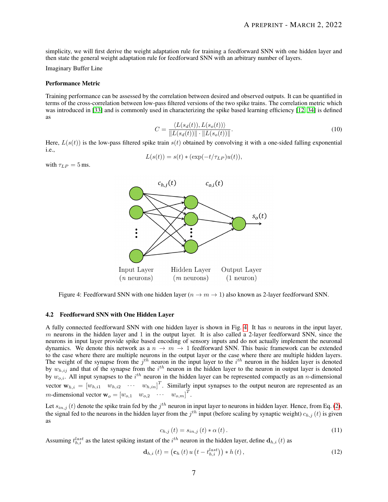simplicity, we will first derive the weight adaptation rule for training a feedforward SNN with one hidden layer and then state the general weight adaptation rule for feedforward SNN with an arbitrary number of layers.

Imaginary Buffer Line

#### Performance Metric

Training performance can be assessed by the correlation between desired and observed outputs. It can be quantified in terms of the cross-correlation between low-pass filtered versions of the two spike trains. The correlation metric which was introduced in [\[33\]](#page-18-9) and is commonly used in characterizing the spike based learning efficiency [\[12,](#page-17-11) [34\]](#page-18-10) is defined as

$$
C = \frac{\langle L(s_d(t)), L(s_o(t)) \rangle}{\|L(s_d(t))\| \cdot \|L(s_o(t))\|}. \tag{10}
$$

Here,  $L(s(t))$  is the low-pass filtered spike train  $s(t)$  obtained by convolving it with a one-sided falling exponential i.e.,

$$
L(s(t)) = s(t) * (\exp(-t/\tau_{LP})u(t)),
$$

<span id="page-6-0"></span>with  $\tau_{LP} = 5$  ms.



Figure 4: Feedforward SNN with one hidden layer ( $n \to m \to 1$ ) also known as 2-layer feedforward SNN.

#### 4.2 Feedforward SNN with One Hidden Layer

A fully connected feedforward SNN with one hidden layer is shown in Fig. [4.](#page-6-0) It has  $n$  neurons in the input layer,  $m$  neurons in the hidden layer and 1 in the output layer. It is also called a 2-layer feedforward SNN, since the neurons in input layer provide spike based encoding of sensory inputs and do not actually implement the neuronal dynamics. We denote this network as a  $n \to m \to 1$  feedforward SNN. This basic framework can be extended to the case where there are multiple neurons in the output layer or the case where there are multiple hidden layers. The weight of the synapse from the  $j<sup>th</sup>$  neuron in the input layer to the  $i<sup>th</sup>$  neuron in the hidden layer is denoted by  $w_{h,ij}$  and that of the synapse from the  $i^{th}$  neuron in the hidden layer to the neuron in output layer is denoted by  $w_{o,i}$ . All input synapses to the  $i^{th}$  neuron in the hidden layer can be represented compactly as an *n*-dimensional vector  $w_{h,i} = [w_{h,i1} \quad w_{h,i2} \quad \cdots \quad w_{h,in}]^T$ . Similarly input synapses to the output neuron are represented as an *m*-dimensional vector  $\mathbf{w}_o = \begin{bmatrix} w_{o,1} & w_{o,2} & \cdots & w_{o,m} \end{bmatrix}^T$ .

Let  $s_{in,j}(t)$  denote the spike train fed by the  $j^{th}$  neuron in input layer to neurons in hidden layer. Hence, from Eq. [\(2\)](#page-3-3), the signal fed to the neurons in the hidden layer from the  $j^{th}$  input (before scaling by synaptic weight)  $c_{h,j}(t)$  is given as

$$
c_{h,j}(t) = s_{in,j}(t) * \alpha(t). \qquad (11)
$$

Assuming  $t_{h,i}^{last}$  as the latest spiking instant of the  $i^{th}$  neuron in the hidden layer, define  $\mathbf{d}_{h,i}(t)$  as

$$
\mathbf{d}_{h,i}\left(t\right) = \left(\mathbf{c}_h\left(t\right)u\left(t - t_{h,i}^{last}\right)\right) * h\left(t\right),\tag{12}
$$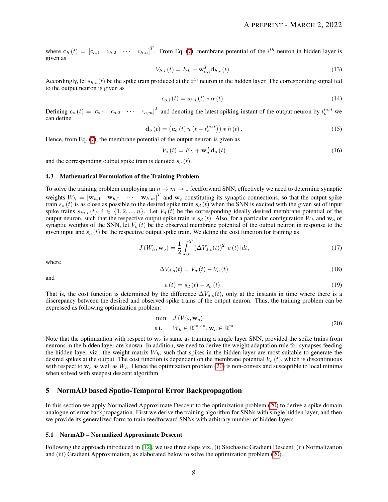where  $\mathbf{c}_h(t) = \begin{bmatrix} c_{h,1} & c_{h,2} & \cdots & c_{h,n} \end{bmatrix}^T$ . From Eq. [\(7\)](#page-4-2), membrane potential of the  $i^{th}$  neuron in hidden layer is given as

$$
V_{h,i}(t) = E_L + \mathbf{w}_{h,i}^T \mathbf{d}_{h,i}(t).
$$
\n(13)

Accordingly, let  $s_{h,i}(t)$  be the spike train produced at the  $i^{th}$  neuron in the hidden layer. The corresponding signal fed to the output neuron is given as

<span id="page-7-3"></span>
$$
c_{o,i}(t) = s_{h,i}(t) * \alpha(t). \tag{14}
$$

Defining  $\mathbf{c}_o(t) = \begin{bmatrix} c_{o,1} & c_{o,2} & \cdots & c_{o,m} \end{bmatrix}^T$  and denoting the latest spiking instant of the output neuron by  $t_o^{last}$  we can define

$$
\mathbf{d}_{o}\left(t\right) = \left(\mathbf{c}_{o}\left(t\right)u\left(t - t_{o}^{last}\right)\right) * h\left(t\right). \tag{15}
$$

Hence, from Eq. [\(7\)](#page-4-2), the membrane potential of the output neuron is given as

$$
V_o(t) = E_L + \mathbf{w}_o^T \mathbf{d}_o(t)
$$
 (16)

and the corresponding output spike train is denoted  $s_o(t)$ .

#### 4.3 Mathematical Formulation of the Training Problem

To solve the training problem employing an  $n \to m \to 1$  feedforward SNN, effectively we need to determine synaptic weights  $W_h = [\mathbf{w}_{h,1} \quad \mathbf{w}_{h,2} \quad \cdots \quad \mathbf{w}_{h,m}]^T$  and  $\mathbf{w}_o$  constituting its synaptic connections, so that the output spike train  $s_o(t)$  is as close as possible to the desired spike train  $s_d(t)$  when the SNN is excited with the given set of input spike trains  $s_{in,i}(t)$ ,  $i \in \{1, 2, ..., n\}$ . Let  $V_d(t)$  be the corresponding ideally desired membrane potential of the output neuron, such that the respective output spike train is  $s_d(t)$ . Also, for a particular configuration  $W_h$  and  $\mathbf{w}_o$  of synaptic weights of the SNN, let  $V<sub>o</sub>(t)$  be the observed membrane potential of the output neuron in response to the given input and  $s_o(t)$  be the respective output spike train. We define the cost function for training as

$$
J(W_h, \mathbf{w}_o) = \frac{1}{2} \int_0^T (\Delta V_{d,o}(t))^2 |e(t)| dt,
$$
\n(17)

where

$$
\Delta V_{d,o}(t) = V_d(t) - V_o(t) \tag{18}
$$

and

<span id="page-7-2"></span>
$$
e(t) = s_d(t) - s_o(t). \t\t(19)
$$

That is, the cost function is determined by the difference  $\Delta V_{d,o}(t)$ , only at the instants in time where there is a discrepancy between the desired and observed spike trains of the output neuron. Thus, the training problem can be expressed as following optimization problem:

<span id="page-7-1"></span>
$$
\begin{array}{ll}\n\min & J\left(W_h, \mathbf{w}_o\right) \\
\text{s.t.} & W_h \in \mathbb{R}^{m \times n}, \mathbf{w}_o \in \mathbb{R}^m\n\end{array} \tag{20}
$$

Note that the optimization with respect to  $w<sub>o</sub>$  is same as training a single layer SNN, provided the spike trains from neurons in the hidden layer are known. In addition, we need to derive the weight adaptation rule for synapses feeding the hidden layer viz., the weight matrix  $W<sub>h</sub>$ , such that spikes in the hidden layer are most suitable to generate the desired spikes at the output. The cost function is dependent on the membrane potential  $V<sub>o</sub>(t)$ , which is discontinuous with respect to  $w<sub>o</sub>$  as well as  $W<sub>h</sub>$ . Hence the optimization problem [\(20\)](#page-7-1) is non-convex and susceptible to local minima when solved with steepest descent algorithm.

## <span id="page-7-0"></span>5 NormAD based Spatio-Temporal Error Backpropagation

In this section we apply Normalized Approximate Descent to the optimization problem [\(20\)](#page-7-1) to derive a spike domain analogue of error backpropagation. First we derive the training algorithm for SNNs with single hidden layer, and then we provide its generalized form to train feedforward SNNs with arbitrary number of hidden layers.

#### 5.1 NormAD – Normalized Approximate Descent

Following the approach introduced in [\[12\]](#page-17-11), we use three steps viz., (i) Stochastic Gradient Descent, (ii) Normalization and (iii) Gradient Approximation, as elaborated below to solve the optimization problem [\(20\)](#page-7-1).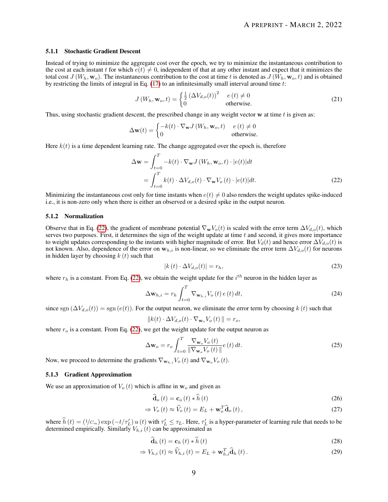#### 5.1.1 Stochastic Gradient Descent

Instead of trying to minimize the aggregate cost over the epoch, we try to minimize the instantaneous contribution to the cost at each instant t for which  $e(t) \neq 0$ , independent of that at any other instant and expect that it minimizes the total cost  $J(W_h, w_o)$ . The instantaneous contribution to the cost at time t is denoted as  $J(W_h, w_o, t)$  and is obtained by restricting the limits of integral in Eq.  $(17)$  to an infinitesimally small interval around time t:

$$
J\left(W_h, \mathbf{w}_o, t\right) = \begin{cases} \frac{1}{2} \left(\Delta V_{d,o}(t)\right)^2 & e\left(t\right) \neq 0\\ 0 & \text{otherwise.} \end{cases}
$$
(21)

Thus, using stochastic gradient descent, the prescribed change in any weight vector  $w$  at time  $t$  is given as:

$$
\Delta \mathbf{w}(t) = \begin{cases} -k(t) \cdot \nabla_{\mathbf{w}} J\left(W_h, \mathbf{w}_o, t\right) & e\left(t\right) \neq 0\\ 0 & \text{otherwise.} \end{cases}
$$

Here  $k(t)$  is a time dependent learning rate. The change aggregated over the epoch is, therefore

$$
\Delta \mathbf{w} = \int_{t=0}^{T} -k(t) \cdot \nabla_{\mathbf{w}} J(W_h, \mathbf{w}_o, t) \cdot |e(t)| dt
$$
  
= 
$$
\int_{t=0}^{T} k(t) \cdot \Delta V_{d,o}(t) \cdot \nabla_{\mathbf{w}} V_o(t) \cdot |e(t)| dt.
$$
 (22)

Minimizing the instantaneous cost only for time instants when  $e(t) \neq 0$  also renders the weight updates spike-induced i.e., it is non-zero only when there is either an observed or a desired spike in the output neuron.

#### 5.1.2 Normalization

Observe that in Eq. [\(22\)](#page-8-0), the gradient of membrane potential  $\nabla_{\mathbf{w}}V_o(t)$  is scaled with the error term  $\Delta V_{d,o}(t)$ , which serves two purposes. First, it determines the sign of the weight update at time  $t$  and second, it gives more importance to weight updates corresponding to the instants with higher magnitude of error. But  $V_d(t)$  and hence error  $\Delta V_{d,o}(t)$  is not known. Also, dependence of the error on  $w_{h,i}$  is non-linear, so we eliminate the error term  $\Delta V_{d,o}(t)$  for neurons in hidden layer by choosing  $k(t)$  such that

<span id="page-8-4"></span><span id="page-8-3"></span><span id="page-8-0"></span>
$$
|k(t) \cdot \Delta V_{d,o}(t)| = r_h,\tag{23}
$$

where  $r_h$  is a constant. From Eq. [\(22\)](#page-8-0), we obtain the weight update for the  $i^{th}$  neuron in the hidden layer as

$$
\Delta \mathbf{w}_{h,i} = r_h \int_{t=0}^{T} \nabla_{\mathbf{w}_{h,i}} V_o(t) e(t) dt,
$$
\n(24)

since sgn  $(\Delta V_{d,o}(t))$  = sgn  $(e(t))$ . For the output neuron, we eliminate the error term by choosing k (t) such that

$$
||k(t) \cdot \Delta V_{d,o}(t) \cdot \nabla_{\mathbf{w}_o} V_o(t)|| = r_o,
$$

where  $r_o$  is a constant. From Eq. [\(22\)](#page-8-0), we get the weight update for the output neuron as

$$
\Delta \mathbf{w}_o = r_o \int_{t=0}^{T} \frac{\nabla_{\mathbf{w}_o} V_o(t)}{\|\nabla_{\mathbf{w}_o} V_o(t)\|} e(t) dt.
$$
\n(25)

Now, we proceed to determine the gradients  $\nabla_{\mathbf{w}_{h,i}}V_o(t)$  and  $\nabla_{\mathbf{w}_o}V_o(t)$ .

#### 5.1.3 Gradient Approximation

We use an approximation of  $V_o(t)$  which is affine in  $w_o$  and given as

<span id="page-8-2"></span><span id="page-8-1"></span>
$$
\hat{\mathbf{d}}_{o}(t) = \mathbf{c}_{o}(t) * \hat{h}(t)
$$
\n(26)

$$
\Rightarrow V_o(t) \approx \hat{V}_o(t) = E_L + \mathbf{w}_o^T \hat{\mathbf{d}}_o(t), \qquad (27)
$$

where  $\hat{h}(t) = (1/c_m) \exp(-t/\tau_L') u(t)$  with  $\tau_L' \leq \tau_L$ . Here,  $\tau_L'$  is a hyper-parameter of learning rule that needs to be determined empirically. Similarly  $V_{h,i}(t)$  can be approximated as

<span id="page-8-5"></span>
$$
\mathbf{d}_{h}\left(t\right) = \mathbf{c}_{h}\left(t\right) * h\left(t\right) \tag{28}
$$

$$
\Rightarrow V_{h,i}(t) \approx \widehat{V}_{h,i}(t) = E_L + \mathbf{w}_{h,i}^T \widehat{\mathbf{d}}_h(t).
$$
\n(29)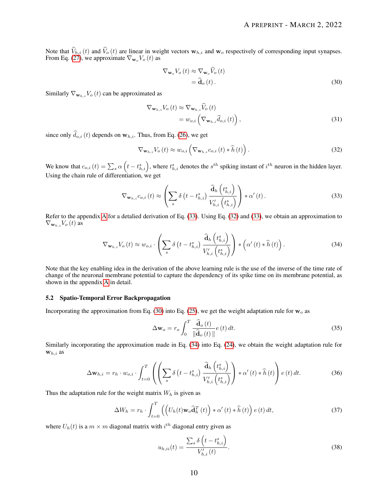Note that  $\hat{V}_{h,i}(t)$  and  $\hat{V}_{o}(t)$  are linear in weight vectors  $w_{h,i}$  and  $w_{o}$  respectively of corresponding input synapses. From Eq. [\(27\)](#page-8-1), we approximate  $\nabla_{\mathbf{w}_o} V_o(t)$  as

<span id="page-9-2"></span><span id="page-9-1"></span>
$$
\nabla_{\mathbf{w}_o} V_o(t) \approx \nabla_{\mathbf{w}_o} \hat{V}_o(t)
$$
  
=  $\hat{\mathbf{d}}_o(t)$ . (30)

Similarly  $\nabla_{\mathbf{w}_{h,i}}V_o(t)$  can be approximated as

$$
\nabla_{\mathbf{w}_{h,i}} V_o(t) \approx \nabla_{\mathbf{w}_{h,i}} \hat{V}_o(t)
$$
  
=  $w_{o,i} \left( \nabla_{\mathbf{w}_{h,i}} \hat{d}_{o,i}(t) \right),$  (31)

since only  $\hat{d}_{o,i}$  (t) depends on  $w_{h,i}$ . Thus, from Eq. [\(26\)](#page-8-2), we get

<span id="page-9-0"></span>
$$
\nabla_{\mathbf{w}_{h,i}} V_o(t) \approx w_{o,i} \left( \nabla_{\mathbf{w}_{h,i}} c_{o,i}(t) * \widehat{h}(t) \right).
$$
 (32)

We know that  $c_{o,i}(t) = \sum_s \alpha \left( t - t_{h,i}^s \right)$ , where  $t_{h,i}^s$  denotes the  $s^{th}$  spiking instant of  $i^{th}$  neuron in the hidden layer. Using the chain rule of differentiation, we get

$$
\nabla_{\mathbf{w}_{h,i}} c_{o,i}(t) \approx \left( \sum_{s} \delta \left( t - t_{h,i}^{s} \right) \frac{\widehat{\mathbf{d}}_{h} \left( t_{h,i}^{s} \right)}{V'_{h,i} \left( t_{h,i}^{s} \right)} \right) * \alpha' \left( t \right).
$$
\n(33)

Refer to the appendix [A](#page-15-0) for a detalied derivation of Eq. [\(33\)](#page-9-0). Using Eq. [\(32\)](#page-9-1) and [\(33\)](#page-9-0), we obtain an approximation to  $\nabla_{\mathbf{w}_h} V_o(t)$  as

$$
\nabla_{\mathbf{w}_{h,i}} V_o(t) \approx w_{o,i} \cdot \left( \sum_s \delta \left( t - t_{h,i}^s \right) \frac{\widehat{\mathbf{d}}_h \left( t_{h,i}^s \right)}{V'_{h,i} \left( t_{h,i}^s \right)} \right) * \left( \alpha' \left( t \right) * \widehat{h} \left( t \right) \right). \tag{34}
$$

Note that the key enabling idea in the derivation of the above learning rule is the use of the inverse of the time rate of change of the neuronal membrane potential to capture the dependency of its spike time on its membrane potential, as shown in the appendix [A](#page-15-0) in detail.

#### 5.2 Spatio-Temporal Error Backpropagation

Incorporating the approximation from Eq. [\(30\)](#page-9-2) into Eq. [\(25\)](#page-8-3), we get the weight adaptation rule for  $w_0$  as

<span id="page-9-6"></span><span id="page-9-5"></span><span id="page-9-3"></span>
$$
\Delta \mathbf{w}_o = r_o \int_0^T \frac{\widehat{\mathbf{d}}_o(t)}{\|\widehat{\mathbf{d}}_o(t)\|} e(t) dt.
$$
\n(35)

Similarly incorporating the approximation made in Eq. [\(34\)](#page-9-3) into Eq. [\(24\)](#page-8-4), we obtain the weight adaptation rule for  $\mathbf{w}_{h,i}$  as

$$
\Delta \mathbf{w}_{h,i} = r_h \cdot w_{o,i} \cdot \int_{t=0}^T \left( \left( \sum_s \delta \left( t - t_{h,i}^s \right) \frac{\widehat{\mathbf{d}}_h \left( t_{h,i}^s \right)}{V'_{h,i} \left( t_{h,i}^s \right)} \right) * \alpha' \left( t \right) * \widehat{h} \left( t \right) \right) e \left( t \right) dt. \tag{36}
$$

Thus the adaptation rule for the weight matrix  $W<sub>h</sub>$  is given as

$$
\Delta W_h = r_h \cdot \int_{t=0}^T \left( \left( U_h(t) \mathbf{w}_o \widehat{\mathbf{d}}_h^T(t) \right) \ast \alpha'(t) \ast \widehat{h}(t) \right) e(t) dt, \tag{37}
$$

where  $U_h(t)$  is a  $m \times m$  diagonal matrix with  $i^{th}$  diagonal entry given as

<span id="page-9-4"></span>
$$
u_{h,ii}(t) = \frac{\sum_{s} \delta(t - t_{h,i}^{s})}{V'_{h,i}(t)}.
$$
\n(38)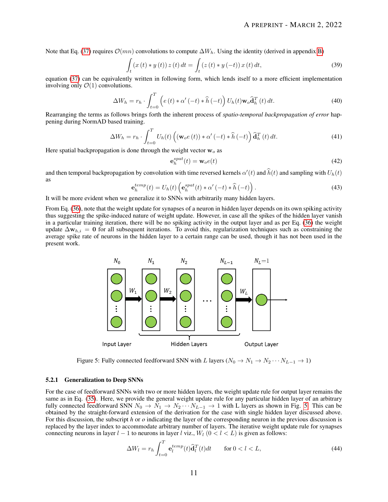Note that Eq. [\(37\)](#page-9-4) requires  $\mathcal{O}(mn)$  convolutions to compute  $\Delta W_h$ . Using the identity (derived in appendix [B\)](#page-16-0)

$$
\int_{t} (x(t) * y(t)) z(t) dt = \int_{t} (z(t) * y(-t)) x(t) dt,
$$
\n(39)

equation [\(37\)](#page-9-4) can be equivalently written in following form, which lends itself to a more efficient implementation involving only  $\mathcal{O}(1)$  convolutions.

$$
\Delta W_h = r_h \cdot \int_{t=0}^T \left( e(t) * \alpha'(-t) * \widehat{h}(-t) \right) U_h(t) \mathbf{w}_o \widehat{\mathbf{d}}_h^T(t) dt.
$$
 (40)

Rearranging the terms as follows brings forth the inherent process of *spatio-temporal backpropagation of error* happening during NormAD based training.

$$
\Delta W_h = r_h \cdot \int_{t=0}^T U_h(t) \left( (\mathbf{w}_o e(t)) \ast \alpha' (-t) \ast \widehat{h}(-t) \right) \widehat{\mathbf{d}}_h^T(t) dt.
$$
 (41)

Here spatial backpropagation is done through the weight vector  $w<sub>o</sub>$  as

$$
\mathbf{e}_h^{spat}(t) = \mathbf{w}_o e(t) \tag{42}
$$

and then temporal backpropagation by convolution with time reversed kernels  $\alpha'(t)$  and  $\hat{h}(t)$  and sampling with  $U_h(t)$ as

$$
\mathbf{e}_h^{temp}(t) = U_h(t) \left( \mathbf{e}_h^{spat}(t) * \alpha'(-t) * \widehat{h}(-t) \right). \tag{43}
$$

It will be more evident when we generalize it to SNNs with arbitrarily many hidden layers.

<span id="page-10-0"></span>From Eq. [\(36\)](#page-9-5), note that the weight update for synapses of a neuron in hidden layer depends on its own spiking activity thus suggesting the spike-induced nature of weight update. However, in case all the spikes of the hidden layer vanish in a particular training iteration, there will be no spiking activity in the output layer and as per Eq. [\(36\)](#page-9-5) the weight update  $\Delta w_{h,i} = 0$  for all subsequent iterations. To avoid this, regularization techniques such as constraining the average spike rate of neurons in the hidden layer to a certain range can be used, though it has not been used in the present work.



Figure 5: Fully connected feedforward SNN with L layers ( $N_0 \rightarrow N_1 \rightarrow N_2 \cdots N_{L-1} \rightarrow 1$ )

#### 5.2.1 Generalization to Deep SNNs

For the case of feedforward SNNs with two or more hidden layers, the weight update rule for output layer remains the same as in Eq. [\(35\)](#page-9-6). Here, we provide the general weight update rule for any particular hidden layer of an arbitrary fully connected feedforward SNN  $N_0 \to N_1 \to N_2 \cdots N_{L-1} \to 1$  with L layers as shown in Fig. [5.](#page-10-0) This can be obtained by the straight-forward extension of the derivation for the case with single hidden layer discussed above. For this discussion, the subscript *h* or *o* indicating the layer of the corresponding neuron in the previous discussion is replaced by the layer index to accommodate arbitrary number of layers. The iterative weight update rule for synapses connecting neurons in layer  $l - 1$  to neurons in layer l viz.,  $W_l$  ( $0 < l < L$ ) is given as follows:

<span id="page-10-1"></span>
$$
\Delta W_l = r_h \int_{t=0}^T \mathbf{e}_l^{temp}(t) \widehat{\mathbf{d}}_l^T(t) dt \quad \text{for } 0 < l < L,\tag{44}
$$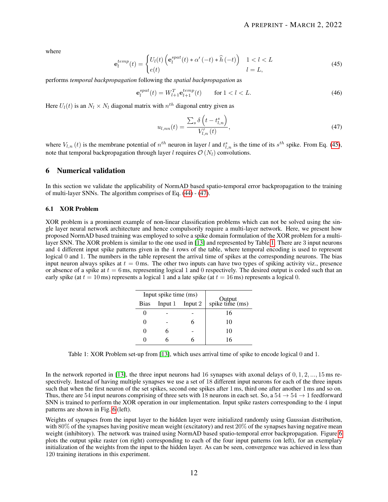<span id="page-11-1"></span>where

$$
\mathbf{e}_{l}^{temp}(t) = \begin{cases} U_{l}(t) \left( \mathbf{e}_{l}^{spat}(t) * \alpha' (-t) * \widehat{h} (-t) \right) & 1 < l < L \\ e(t) & l = L, \end{cases} \tag{45}
$$

performs *temporal backpropagation* following the *spatial backpropagation* as

$$
\mathbf{e}_{l}^{spat}(t) = W_{l+1}^{T} \mathbf{e}_{l+1}^{temp}(t) \qquad \text{for } l < l < L. \tag{46}
$$

Here  $U_l(t)$  is an  $N_l \times N_l$  diagonal matrix with  $n^{th}$  diagonal entry given as

<span id="page-11-2"></span>
$$
u_{l,nn}(t) = \frac{\sum_{s} \delta\left(t - t_{l,n}^{s}\right)}{V_{l,n}'(t)},
$$
\n
$$
(47)
$$

where  $V_{l,n}(t)$  is the membrane potential of  $n^{th}$  neuron in layer l and  $t_{l,n}^s$  is the time of its  $s^{th}$  spike. From Eq. [\(45\)](#page-11-1), note that temporal backpropagation through layer l requires  $\mathcal{O}(N_l)$  convolutions.

## <span id="page-11-0"></span>6 Numerical validation

In this section we validate the applicability of NormAD based spatio-temporal error backpropagation to the training of multi-layer SNNs. The algorithm comprises of Eq. [\(44\)](#page-10-1) - [\(47\)](#page-11-2).

#### 6.1 XOR Problem

<span id="page-11-3"></span>XOR problem is a prominent example of non-linear classification problems which can not be solved using the single layer neural network architecture and hence compulsorily require a multi-layer network. Here, we present how proposed NormAD based training was employed to solve a spike domain formulation of the XOR problem for a multilayer SNN. The XOR problem is similar to the one used in [\[13\]](#page-17-12) and represented by Table [1.](#page-11-3) There are 3 input neurons and 4 different input spike patterns given in the 4 rows of the table, where temporal encoding is used to represent logical 0 and 1. The numbers in the table represent the arrival time of spikes at the corresponding neurons. The bias input neuron always spikes at  $t = 0$  ms. The other two inputs can have two types of spiking activity viz., presence or absence of a spike at  $t = 6$  ms, representing logical 1 and 0 respectively. The desired output is coded such that an early spike (at  $t = 10$  ms) represents a logical 1 and a late spike (at  $t = 16$  ms) represents a logical 0.

| Input spike time (ms) |                 |   |                           |
|-----------------------|-----------------|---|---------------------------|
| <b>Bias</b>           | Input 1 Input 2 |   | Output<br>spike time (ms) |
|                       |                 |   | 16                        |
|                       |                 | 6 | 10                        |
|                       | 6               |   | 10                        |
|                       |                 |   | 16                        |

Table 1: XOR Problem set-up from [\[13\]](#page-17-12), which uses arrival time of spike to encode logical 0 and 1.

In the network reported in [\[13\]](#page-17-12), the three input neurons had 16 synapses with axonal delays of  $0, 1, 2, ..., 15$  ms respectively. Instead of having multiple synapses we use a set of 18 different input neurons for each of the three inputs such that when the first neuron of the set spikes, second one spikes after 1 ms, third one after another 1 ms and so on. Thus, there are 54 input neurons comprising of three sets with 18 neurons in each set. So, a  $54 \rightarrow 54 \rightarrow 1$  feedforward SNN is trained to perform the XOR operation in our implementation. Input spike rasters corresponding to the 4 input patterns are shown in Fig. [6](#page-12-0) (left).

Weights of synapses from the input layer to the hidden layer were initialized randomly using Gaussian distribution, with  $80\%$  of the synapses having positive mean weight (excitatory) and rest  $20\%$  of the synapses having negative mean weight (inhibitory). The network was trained using NormAD based spatio-temporal error backpropagation. Figure [6](#page-12-0) plots the output spike raster (on right) corresponding to each of the four input patterns (on left), for an exemplary initialization of the weights from the input to the hidden layer. As can be seen, convergence was achieved in less than 120 training iterations in this experiment.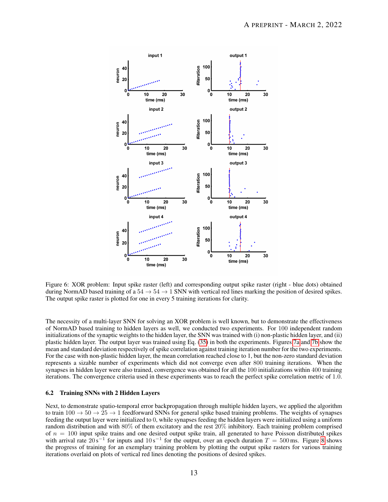<span id="page-12-0"></span>

Figure 6: XOR problem: Input spike raster (left) and corresponding output spike raster (right - blue dots) obtained during NormAD based training of a  $54 \rightarrow 54 \rightarrow 1$  SNN with vertical red lines marking the position of desired spikes. The output spike raster is plotted for one in every 5 training iterations for clarity.

The necessity of a multi-layer SNN for solving an XOR problem is well known, but to demonstrate the effectiveness of NormAD based training to hidden layers as well, we conducted two experiments. For 100 independent random initializations of the synaptic weights to the hidden layer, the SNN was trained with (i) non-plastic hidden layer, and (ii) plastic hidden layer. The output layer was trained using Eq. [\(35\)](#page-9-6) in both the experiments. Figures [7a](#page-13-0) and [7b](#page-13-0) show the mean and standard deviation respectively of spike correlation against training iteration number for the two experiments. For the case with non-plastic hidden layer, the mean correlation reached close to 1, but the non-zero standard deviation represents a sizable number of experiments which did not converge even after 800 training iterations. When the synapses in hidden layer were also trained, convergence was obtained for all the 100 initializations within 400 training iterations. The convergence criteria used in these experiments was to reach the perfect spike correlation metric of 1.0.

#### 6.2 Training SNNs with 2 Hidden Layers

Next, to demonstrate spatio-temporal error backpropagation through multiple hidden layers, we applied the algorithm to train  $100 \rightarrow 50 \rightarrow 25 \rightarrow 1$  feedforward SNNs for general spike based training problems. The weights of synapses feeding the output layer were initialized to 0, while synapses feeding the hidden layers were initialized using a uniform random distribution and with 80% of them excitatory and the rest 20% inhibitory. Each training problem comprised of  $n = 100$  input spike trains and one desired output spike train, all generated to have Poisson distributed spikes with arrival rate  $20 s^{-1}$  for inputs and  $10 s^{-1}$  for the output, over an epoch duration  $T = 500$  ms. Figure [8](#page-13-1) shows the progress of training for an exemplary training problem by plotting the output spike rasters for various training iterations overlaid on plots of vertical red lines denoting the positions of desired spikes.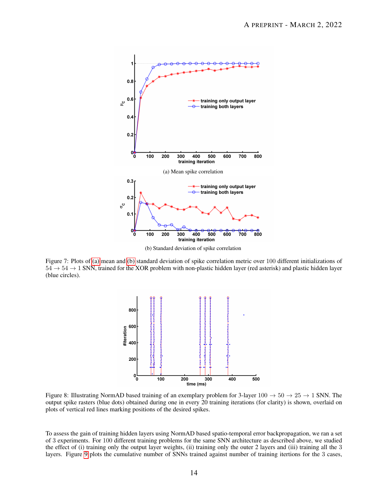<span id="page-13-0"></span>

(b) Standard deviation of spike correlation

<span id="page-13-1"></span>Figure 7: Plots of [\(a\)](#page-13-0) mean and [\(b\)](#page-13-0) standard deviation of spike correlation metric over 100 different initializations of  $54 \rightarrow 54 \rightarrow 1$  SNN, trained for the XOR problem with non-plastic hidden layer (red asterisk) and plastic hidden layer (blue circles).



Figure 8: Illustrating NormAD based training of an exemplary problem for 3-layer  $100 \rightarrow 50 \rightarrow 25 \rightarrow 1$  SNN. The output spike rasters (blue dots) obtained during one in every 20 training iterations (for clarity) is shown, overlaid on plots of vertical red lines marking positions of the desired spikes.

To assess the gain of training hidden layers using NormAD based spatio-temporal error backpropagation, we ran a set of 3 experiments. For 100 different training problems for the same SNN architecture as described above, we studied the effect of (i) training only the output layer weights, (ii) training only the outer 2 layers and (iii) training all the 3 layers. Figure [9](#page-14-1) plots the cumulative number of SNNs trained against number of training itertions for the 3 cases,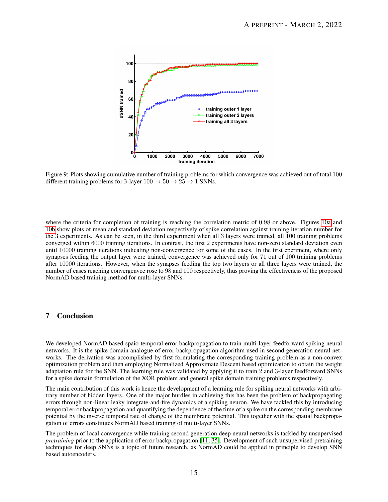<span id="page-14-1"></span>

Figure 9: Plots showing cumulative number of training problems for which convergence was achieved out of total 100 different training problems for 3-layer  $100 \rightarrow 50 \rightarrow 25 \rightarrow 1$  SNNs.

where the criteria for completion of training is reaching the correlation metric of 0.98 or above. Figures [10a](#page-15-1) and [10b](#page-15-1) show plots of mean and standard deviation respectively of spike correlation against training iteration number for the 3 experiments. As can be seen, in the third experiment when all 3 layers were trained, all 100 training problems converged within 6000 training iterations. In contrast, the first 2 experiments have non-zero standard deviation even until 10000 training iterations indicating non-convergence for some of the cases. In the first eperiment, where only synapses feeding the output layer were trained, convergence was achieved only for 71 out of 100 training problems after 10000 iterations. However, when the synapses feeding the top two layers or all three layers were trained, the number of cases reaching convergenvce rose to 98 and 100 respectively, thus proving the effectiveness of the proposed NormAD based training method for multi-layer SNNs.

## <span id="page-14-0"></span>7 Conclusion

We developed NormAD based spaio-temporal error backpropagation to train multi-layer feedforward spiking neural networks. It is the spike domain analogue of error backpropagation algorithm used in second generation neural networks. The derivation was accomplished by first formulating the corresponding training problem as a non-convex optimization problem and then employing Normalized Approximate Descent based optimization to obtain the weight adaptation rule for the SNN. The learning rule was validated by applying it to train 2 and 3-layer feedforward SNNs for a spike domain formulation of the XOR problem and general spike domain training problems respectively.

The main contribution of this work is hence the development of a learning rule for spiking neural networks with arbitrary number of hidden layers. One of the major hurdles in achieving this has been the problem of backpropagating errors through non-linear leaky integrate-and-fire dynamics of a spiking neuron. We have tackled this by introducing temporal error backpropagation and quantifying the dependence of the time of a spike on the corresponding membrane potential by the inverse temporal rate of change of the membrane potential. This together with the spatial backpropagation of errors constitutes NormAD based training of multi-layer SNNs.

The problem of local convergence while training second generation deep neural networks is tackled by unsupervised *pretraining* prior to the application of error backpropagation [\[11,](#page-17-10) [35\]](#page-18-11). Development of such unsupervised pretraining techniques for deep SNNs is a topic of future research, as NormAD could be applied in principle to develop SNN based autoencoders.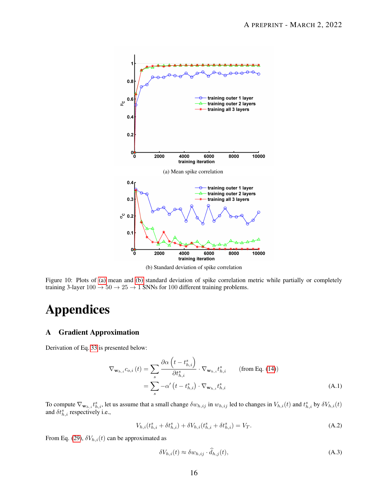<span id="page-15-1"></span>

(b) Standard deviation of spike correlation

Figure 10: Plots of [\(a\)](#page-15-1) mean and [\(b\)](#page-15-1) standard deviation of spike correlation metric while partially or completely training 3-layer  $100 \rightarrow 50 \rightarrow 25 \rightarrow 1$  SNNs for 100 different training problems.

# Appendices

## <span id="page-15-0"></span>A Gradient Approximation

Derivation of Eq. [33](#page-9-0) is presented below:

$$
\nabla_{\mathbf{w}_{h,i}} c_{o,i}(t) = \sum_{s} \frac{\partial \alpha \left( t - t_{h,i}^{s} \right)}{\partial t_{h,i}^{s}} \cdot \nabla_{\mathbf{w}_{h,i}} t_{h,i}^{s} \qquad \text{(from Eq. (14))}
$$
\n
$$
= \sum_{s} -\alpha' \left( t - t_{h,i}^{s} \right) \cdot \nabla_{\mathbf{w}_{h,i}} t_{h,i}^{s} \qquad (A.1)
$$

To compute  $\nabla_{\mathbf{w}_{h,i}} t_{h,i}^s$ , let us assume that a small change  $\delta w_{h,ij}$  in  $w_{h,ij}$  led to changes in  $V_{h,i}(t)$  and  $t_{h,i}^s$  by  $\delta V_{h,i}(t)$ and  $\delta t_{h,i}^s$  respectively i.e.,

$$
V_{h,i}(t_{h,i}^s + \delta t_{h,i}^s) + \delta V_{h,i}(t_{h,i}^s + \delta t_{h,i}^s) = V_T.
$$
\n(A.2)

From Eq. [\(29\)](#page-8-5),  $\delta V_{h,i}(t)$  can be approximated as

<span id="page-15-3"></span><span id="page-15-2"></span>
$$
\delta V_{h,i}(t) \approx \delta w_{h,ij} \cdot \dot{d}_{h,j}(t),\tag{A.3}
$$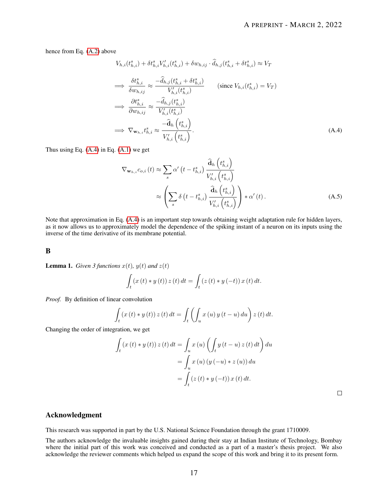hence from Eq. [\(A.2\)](#page-15-2) above

$$
V_{h,i}(t_{h,i}^s) + \delta t_{h,i}^s V'_{h,i}(t_{h,i}^s) + \delta w_{h,ij} \cdot \hat{d}_{h,j}(t_{h,i}^s + \delta t_{h,i}^s) \approx V_T
$$
  
\n
$$
\implies \frac{\delta t_{h,i}^s}{\delta w_{h,ij}} \approx \frac{-\hat{d}_{h,j}(t_{h,i}^s + \delta t_{h,i}^s)}{V'_{h,i}(t_{h,i}^s)} \qquad (\text{since } V_{h,i}(t_{h,i}^s) = V_T)
$$
  
\n
$$
\implies \frac{\partial t_{h,i}^s}{\partial w_{h,ij}} \approx \frac{-\hat{d}_{h,j}(t_{h,i}^s)}{V'_{h,i}(t_{h,i}^s)}
$$
  
\n
$$
\implies \nabla_{\mathbf{w}_{h,i}} t_{h,i}^s \approx \frac{-\hat{\mathbf{d}}_h (t_{h,i}^s)}{V'_{h,i}(t_{h,i}^s)}.
$$
\n(A.4)

<span id="page-16-1"></span> $\lambda$ 

Thus using Eq.  $(A.4)$  in Eq.  $(A.1)$  we get

$$
\nabla_{\mathbf{w}_{h,i}} c_{o,i}(t) \approx \sum_{s} \alpha' \left( t - t_{h,i}^{s} \right) \frac{\widehat{\mathbf{d}}_{h} \left( t_{h,i}^{s} \right)}{V'_{h,i} \left( t_{h,i}^{s} \right)}
$$
\n
$$
\approx \left( \sum_{s} \delta \left( t - t_{h,i}^{s} \right) \frac{\widehat{\mathbf{d}}_{h} \left( t_{h,i}^{s} \right)}{V'_{h,i} \left( t_{h,i}^{s} \right)} \right) * \alpha' \left( t \right). \tag{A.5}
$$

Note that approximation in Eq. [\(A.4\)](#page-16-1) is an important step towards obtaining weight adaptation rule for hidden layers, as it now allows us to approximately model the dependence of the spiking instant of a neuron on its inputs using the inverse of the time derivative of its membrane potential.

#### <span id="page-16-0"></span>B

**Lemma 1.** *Given 3 functions*  $x(t)$ *,*  $y(t)$  *and*  $z(t)$ 

$$
\int_{t} (x(t) * y(t)) z(t) dt = \int_{t} (z(t) * y(-t)) x(t) dt.
$$

*Proof.* By definition of linear convolution

$$
\int_{t} (x(t) * y(t)) z(t) dt = \int_{t} \left( \int_{u} x(u) y(t-u) du \right) z(t) dt.
$$

Changing the order of integration, we get

$$
\int_{t} (x(t) * y(t)) z(t) dt = \int_{u} x(u) \left( \int_{t} y(t-u) z(t) dt \right) du
$$

$$
= \int_{u} x(u) (y(-u) * z(u)) du
$$

$$
= \int_{t} (z(t) * y(-t)) x(t) dt.
$$

 $\Box$ 

## Acknowledgment

This research was supported in part by the U.S. National Science Foundation through the grant 1710009.

The authors acknowledge the invaluable insights gained during their stay at Indian Institute of Technology, Bombay where the initial part of this work was conceived and conducted as a part of a master's thesis project. We also acknowledge the reviewer comments which helped us expand the scope of this work and bring it to its present form.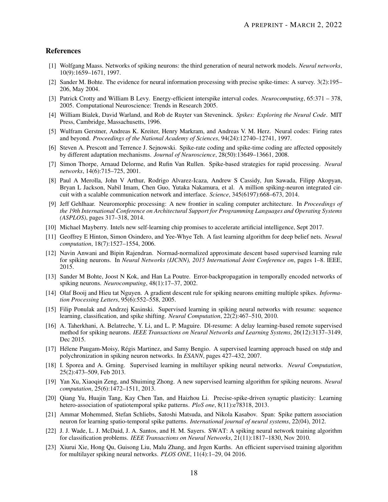## References

- <span id="page-17-0"></span>[1] Wolfgang Maass. Networks of spiking neurons: the third generation of neural network models. *Neural networks*, 10(9):1659–1671, 1997.
- <span id="page-17-1"></span>[2] Sander M. Bohte. The evidence for neural information processing with precise spike-times: A survey. 3(2):195– 206, May 2004.
- <span id="page-17-2"></span>[3] Patrick Crotty and William B Levy. Energy-efficient interspike interval codes. *Neurocomputing*, 65:371 – 378, 2005. Computational Neuroscience: Trends in Research 2005.
- <span id="page-17-3"></span>[4] William Bialek, David Warland, and Rob de Ruyter van Steveninck. *Spikes: Exploring the Neural Code*. MIT Press, Cambridge, Massachusetts, 1996.
- <span id="page-17-4"></span>[5] Wulfram Gerstner, Andreas K. Kreiter, Henry Markram, and Andreas V. M. Herz. Neural codes: Firing rates and beyond. *Proceedings of the National Academy of Sciences*, 94(24):12740–12741, 1997.
- <span id="page-17-5"></span>[6] Steven A. Prescott and Terrence J. Sejnowski. Spike-rate coding and spike-time coding are affected oppositely by different adaptation mechanisms. *Journal of Neuroscience*, 28(50):13649–13661, 2008.
- <span id="page-17-6"></span>[7] Simon Thorpe, Arnaud Delorme, and Rufin Van Rullen. Spike-based strategies for rapid processing. *Neural networks*, 14(6):715–725, 2001.
- <span id="page-17-7"></span>[8] Paul A Merolla, John V Arthur, Rodrigo Alvarez-Icaza, Andrew S Cassidy, Jun Sawada, Filipp Akopyan, Bryan L Jackson, Nabil Imam, Chen Guo, Yutaka Nakamura, et al. A million spiking-neuron integrated circuit with a scalable communication network and interface. *Science*, 345(6197):668–673, 2014.
- <span id="page-17-8"></span>[9] Jeff Gehlhaar. Neuromorphic processing: A new frontier in scaling computer architecture. In *Proceedings of the 19th International Conference on Architectural Support for Programming Languages and Operating Systems (ASPLOS)*, pages 317–318, 2014.
- <span id="page-17-9"></span>[10] Michael Mayberry. Intels new self-learning chip promises to accelerate artificial intelligence, Sept 2017.
- <span id="page-17-10"></span>[11] Geoffrey E Hinton, Simon Osindero, and Yee-Whye Teh. A fast learning algorithm for deep belief nets. *Neural computation*, 18(7):1527–1554, 2006.
- <span id="page-17-11"></span>[12] Navin Anwani and Bipin Rajendran. Normad-normalized approximate descent based supervised learning rule for spiking neurons. In *Neural Networks (IJCNN), 2015 International Joint Conference on*, pages 1–8. IEEE, 2015.
- <span id="page-17-12"></span>[13] Sander M Bohte, Joost N Kok, and Han La Poutre. Error-backpropagation in temporally encoded networks of spiking neurons. *Neurocomputing*, 48(1):17–37, 2002.
- <span id="page-17-13"></span>[14] Olaf Booij and Hieu tat Nguyen. A gradient descent rule for spiking neurons emitting multiple spikes. *Information Processing Letters*, 95(6):552–558, 2005.
- <span id="page-17-14"></span>[15] Filip Ponulak and Andrzej Kasinski. Supervised learning in spiking neural networks with resume: sequence learning, classification, and spike shifting. *Neural Computation*, 22(2):467–510, 2010.
- <span id="page-17-15"></span>[16] A. Taherkhani, A. Belatreche, Y. Li, and L. P. Maguire. Dl-resume: A delay learning-based remote supervised method for spiking neurons. *IEEE Transactions on Neural Networks and Learning Systems*, 26(12):3137–3149, Dec 2015.
- <span id="page-17-16"></span>[17] Hélene Paugam-Moisy, Régis Martinez, and Samy Bengio. A supervised learning approach based on stdp and polychronization in spiking neuron networks. In *ESANN*, pages 427–432, 2007.
- <span id="page-17-17"></span>[18] I. Sporea and A. Grning. Supervised learning in multilayer spiking neural networks. *Neural Computation*, 25(2):473–509, Feb 2013.
- <span id="page-17-18"></span>[19] Yan Xu, Xiaoqin Zeng, and Shuiming Zhong. A new supervised learning algorithm for spiking neurons. *Neural computation*, 25(6):1472–1511, 2013.
- <span id="page-17-19"></span>[20] Qiang Yu, Huajin Tang, Kay Chen Tan, and Haizhou Li. Precise-spike-driven synaptic plasticity: Learning hetero-association of spatiotemporal spike patterns. *PloS one*, 8(11):e78318, 2013.
- <span id="page-17-20"></span>[21] Ammar Mohemmed, Stefan Schliebs, Satoshi Matsuda, and Nikola Kasabov. Span: Spike pattern association neuron for learning spatio-temporal spike patterns. *International journal of neural systems*, 22(04), 2012.
- <span id="page-17-21"></span>[22] J. J. Wade, L. J. McDaid, J. A. Santos, and H. M. Sayers. SWAT: A spiking neural network training algorithm for classification problems. *IEEE Transactions on Neural Networks*, 21(11):1817–1830, Nov 2010.
- <span id="page-17-22"></span>[23] Xiurui Xie, Hong Qu, Guisong Liu, Malu Zhang, and Jrgen Kurths. An efficient supervised training algorithm for multilayer spiking neural networks. *PLOS ONE*, 11(4):1–29, 04 2016.